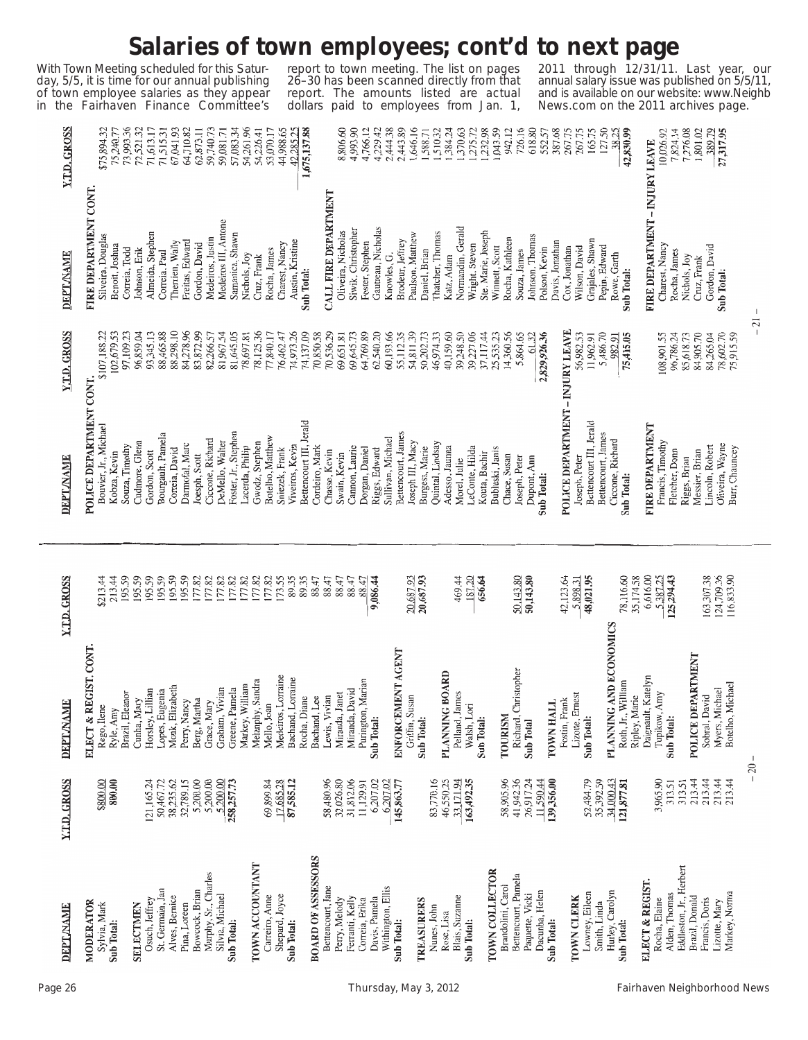## **Salaries of town employees; cont'd to next page**

With Town Meeting scheduled for this Saturday, 5/5, it is time for our annual publishing of town employee salaries as they appear in the Fairhaven Finance Committee's

report to town meeting. The list on pages 26–30 has been scanned directly from that report. The amounts listed are actual dollars paid to employees from Jan. 1,

2011 through 12/31/11. Last year, our annual salary issue was published on 5/5/11, and is available on our website: www.Neighb News.com on the 2011 archives page.

L.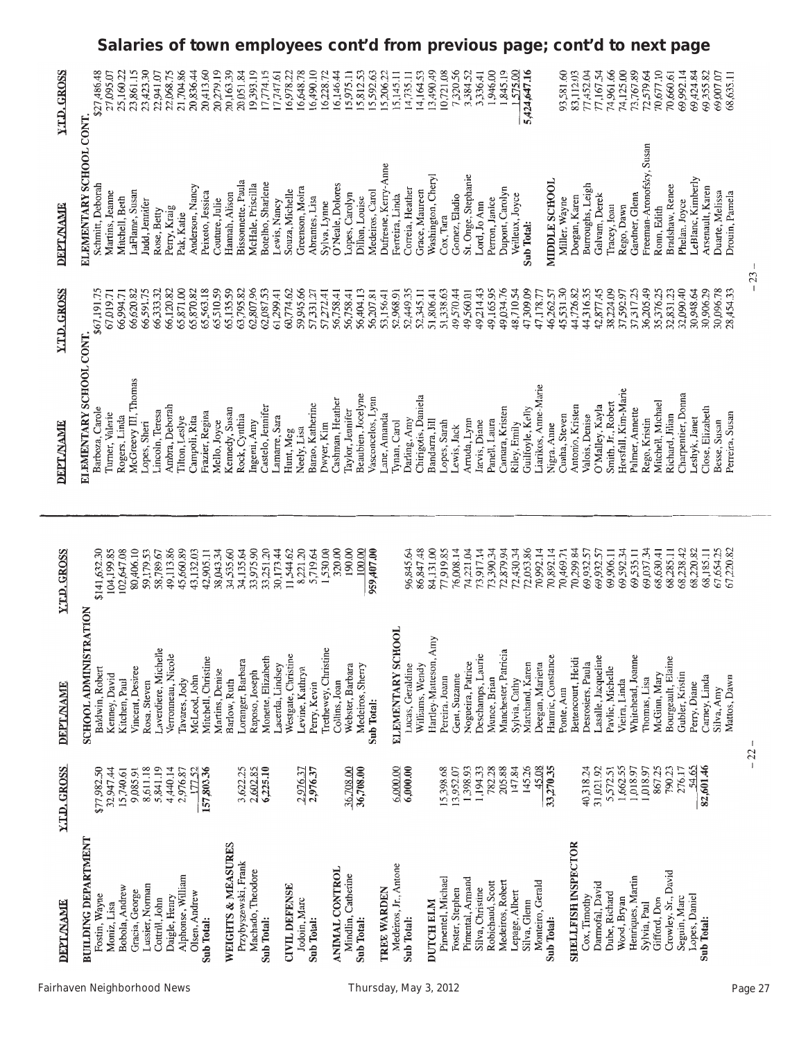| <b>Y.T.D. GROSS</b> | \$27,486.48<br>27,095.07                                       | Salaries of town employees cont'd from previous page;<br>25,160.22<br>23,861.15 | 23,423.30<br>22,941.07               | 22,068.75          | 21,704.86<br>20,836.44          | 20,413.60                           | 20,279.19       | 20,163.39<br>20,051.84                     | 19,393.19         | 17,774.15          | 17,747.61                       | 16,978.22<br>16,648.78                 | 16,490.10        | 16,228.72            | 16,146.44<br>15,975.11               | 15,812.53                            | 5,592.63          | 5,206.22             | 5,145.11                     | 14,735.11<br>4,164.53               | 13,490.49             | 10,721.08         | 7,320.56        | 3,384.52            | 1,946.00<br>3,336.41                 | 1,845.19             | 575.00          | 5,424,647.16     |                                | 93,581.60                       | 83,112.03                  | 77,452.04         | 77,167.54           | 74,961.66                                 | 74,125.00<br>73,767.89 | 72,579.64                                  | 70,677.10         | 70,660.61                           | cont'd to next page<br>69,992.14<br>69,424.84 | 69,355.82        | 68,635.11<br>69,007.07            |        |
|---------------------|----------------------------------------------------------------|---------------------------------------------------------------------------------|--------------------------------------|--------------------|---------------------------------|-------------------------------------|-----------------|--------------------------------------------|-------------------|--------------------|---------------------------------|----------------------------------------|------------------|----------------------|--------------------------------------|--------------------------------------|-------------------|----------------------|------------------------------|-------------------------------------|-----------------------|-------------------|-----------------|---------------------|--------------------------------------|----------------------|-----------------|------------------|--------------------------------|---------------------------------|----------------------------|-------------------|---------------------|-------------------------------------------|------------------------|--------------------------------------------|-------------------|-------------------------------------|-----------------------------------------------|------------------|-----------------------------------|--------|
| <b>DEPT.NAME</b>    | ELEMENTARY SCHOOL CONT.<br>Schmitt, Deborah<br>Martins, Jeanne | LaFlame, Susan<br>Mitchell, Beth                                                | Judd, Jennifer<br>Rose, Betty        | Perry, Kraig       | Anderson, Nancy<br>Pak, Katie   | Peixoto, Jessica                    | Couture, Julie  | Bissonnette, Paula<br>Hannah, Alison       | McHale, Priscilla | Botelho, Sharlene  | Souza, Michelle<br>Lewis, Nancy | Greenson, Moira                        | Abrantes, Lisa   | Sylva, Lynne         | O'Neale, Dolores                     | Lopes, Carolyn<br>Dillon, Louise     | Medeiros, Carol   | Dufresne, Kerry-Anne | Ferreira, Linda              | Correia, Heather<br>Grace, Maureen  | Washington, Cheryl    | Cox, Tara         | Gomez, Eladio   | St. Onge, Stephanie | Perron, Janice<br>Lord, Jo Ann       | Dupont, Carolyn      | Veilleux, Joyce | Sub Total:       | MIDDLE SCHOOL                  | Miller, Wayne                   | Dorgan, Karen              | Burroughs, Leigh  | Galvam, Derek       | Tracey, Joan                              | Rego, Dawn             | Freeman-Aronofsky, Susan<br>Gardner, Glenn | Ronn, Edith       | Bradshaw, Renee                     | LeBlanc, Kimberly<br>Phelan, Joyce            | Arsenault, Karen | Duarte, Melissa<br>Drouin, Pamela | $23 -$ |
| <b>Y.T.D. GROSS</b> | \$67,191.75<br>67,019.71                                       | 66,620.82<br>66,994.71                                                          | 66,591.75<br>66,333.32               | 66,120.82          | 65,871.00<br>65,870.82          | 65,563.18                           | 65,510.59       | 65,135.59<br>63,795.82                     | 62,807.96         | 62,087.53          | 61,299.41                       | 59,945.66<br>60,774.62                 | 57,331.27        | 57,272.41            | 56,758.41<br>56,758.41               | 56,404.13                            | 56,207.81         | 53,156.41            | 52,968.91                    | 52,449.35<br>52,345.11              | 51,806.41             | 51,338.63         | 49,570.44       | 49,560.01           | 49,214.43<br>49,165.95               | 49,034.76            | 48,710.54       | 47,309.09        | 47,178.77                      | 45,531.30<br>46,262.57          | 44,726.82                  | 44,316.35         | 42,877.45           | 38,224.09<br>37,592.97                    | 37,317.25              | 36,205.49                                  | 35,376.25         | 32,831.23                           | 32,090.40<br>30,948.64                        | 30,906.29        | 30,096.78<br>28,454.33            |        |
| <b>DEPT./NAME</b>   | ELEMENTARY SCHOOL CONT<br>Barboza, Carole<br>Turner, Valerie   | McGreevy III, Thomas<br>Rogers, Linda                                           | Lincoln, Teresa<br>Lopes, Sheri      | Ambra, Deborah     | Tilton, Leslye<br>Campoli, Rita | Frazier, Regina                     | Mello, Joyce    | Kennedy, Susan<br>Rock, Cynthia            | Ingemi, Amy       | Castelo, Jennifer  | Lamarre, Sara<br>Hunt, Meg      | Neely, Lisa                            | Barao, Katherine | Dwyer, Kim           | Cashman, Heather<br>Taylor, Jennifer | Beaubien, Jocelyne                   | Vasconcelos, Lynn | Lane, Amanda         | Tynan, Carol                 | Chirigotis, Daniela<br>Darling, Amy | Bandarra, Jill        | Lopes, Sarah      | Lewis, Jack     | Arruda, Lynn        | Panell, Laura<br>Jarvis, Diane       | Camara, Kristen      | Riley, Emily    | Guilfoyle, Kelly | Liarikos, Anne-Marie           | Cunha, Steven<br>Nigra, Anne    | Antonio, Kristen           | Valois, Denise    | O'Malley, Kayla     | Horsfall, Kim-Marie<br>Smith, Jr., Robert | Palmer, Annette        | Rego, Kristin                              | Mitchell, Michael | Richard, Jilian                     | Charpentier, Donna<br>Leshyk, Janet           | Close, Elizabeth | Perreira, Susan<br>Besse, Susan   |        |
| <b>Y.T.D. GROSS</b> | 104,199.85<br>\$141,632.30                                     | 102,647.08<br>80,406.10                                                         | 59,179.53<br>58,789.67               | 49,113.86          | 45,660.89                       | 43,132.03<br>42,905.11              | 38,043.34       | 34,535.60<br>34,135.64                     | 33,975.90         | 33,251.20          | 30,173.44                       | 11,544.62<br>8,221.20                  | 5,719.64         | 1,530.00             | 320.00<br>190.00                     | 100.00                               | 959,407.00        |                      |                              | 96,845.64<br>86,847.48              | 84,131.00             | 77,919.85         | 76,008.14       | 74,221.04           | 73,917.14<br>73,390.34               | 72,879.94            | 72,430.34       | 72,053.86        | 70,992.14                      | 70,892.14<br>70,469.71          | 70,299.84                  | 69,932.57         | 69,932.57           | 69,592.34<br>69,906.11                    | 69,535.11              | 69,037.34                                  | 68,630.41         | 68,285.11                           | 68,238.42<br>68,220.82                        | 68,185.11        | 67,654.25<br>67,220.82            |        |
| <b>DEPTANAME</b>    | SCHOOL ADMINISTRATION<br>Baldwin, Robert<br>Kenney, David      | Vincent, Desiree<br>Kitchen, Paul                                               | Laverdiere, Michelle<br>Rosa, Steven | Verronneau, Nicole | Tavares, Jody                   | Mitchell, Christine<br>McLeod, John | Martins, Denise | Loranger, Barbara<br>Barlow, Ruth          | Raposo, Joseph    | Monette, Elizabeth | Lacerda, Lindsey                | Westgate, Christine<br>Levine, Kathryn | Perry, Kevin     | Trethewey, Christine | Collins, Joan                        | Webster, Barbara<br>Medeiros, Sherry | Sub Total:        |                      | <b>OOL</b><br>ELEMENTARY SCH | Lucas, Geraldine<br>Williams, Wendy | Hartley-Matteson, Amy | Pereira, Joann    | Gent, Suzanne   | Nogueira, Patrice   | Deschamps, Laurie<br>Munce, Brian    | Manchester, Patricia | Sylvia, Cathy   | Marchand, Karen  | Deegan, Marietta               | Hamric, Constance<br>Ponte, Ann | Bettencourt, Heidi         | Desrosiers, Paula | Lasalle, Jacqueline | Pavlic, Michelle<br>Vieira, Linda         | Whitehead, Joanne      | Thomas, Lisa                               | McGinn, Mary      | Bourgeault, Elaine                  | Gubler, Kristin<br>Perry, Diane               | Carney, Linda    | Mattos, Dawn<br>Silva, Amy        |        |
| <b>Y.T.D. GROSS</b> | \$77,982.50<br>32,947.44                                       | 15,740.61<br>9,085.91                                                           | 5,841.19<br>8,611.18                 | 4,440.14           | 177.52<br>2,976.87              | 157,803.36                          |                 | 3,622.25                                   | 2,602.85          | 6,225.10           |                                 | 2,976.37                               | 2,976.37         |                      | 36,708.00                            | 36,708.00                            |                   |                      | 6,000.00                     | 6,000.00                            |                       | 15,398.68         | 13,952.07       | 1,398.93            | 1,194.33<br>782.28                   | 205.88               | 147.84          | 145.26           | 45.08<br>33,270.35             |                                 |                            | 40,318.24         | 31,021.92           | 1,662.55<br>5,572.51                      | 1,018.97               | 1,018.97                                   | 867.25            | 790.23<br>276.17                    | 54.65                                         | 82,601.46        |                                   | $-22$  |
| <b>DEPTANAME</b>    | <b>BUILDING DEPARTMENT</b><br>Fostin, Wayne<br>Moniz, Lisa     | Bobola, Andrew<br>Gracia, George                                                | Lussier, Norman<br>Cottrill, John    | Daigle, Henry      | Alphonse, William               | Olsen, Andrew<br>Sub Total:         |                 | WEIGHTS & MEASURES<br>Przybyszewski, Frank | Machado, Theodore | Sub Total:         | <b>CIVIL DEFENSE</b>            | Jodoin, Marc                           | Sub Total:       |                      | ANIMAL CONTROL<br>Mindlin, Catherine | Sub Total:                           |                   | <b>TREE WARDEN</b>   | Medeiros, Jr., Antone        | Sub Total:                          | <b>DUTCH ELM</b>      | Pimentel, Michael | Foster, Stephen | Pimental, Armand    | Robichaud, Scott<br>Silva, Christine | Medeiros, Robert     | Lepage, Albert  | Silva, Glenn     | Monteiro, Gerald<br>Sub Total: |                                 | <b>SHELLFISH INSPECTOR</b> | Cox, Timothy      | Darmofal, David     | Dube, Richard<br>Wood, Bryan              | Henriques, Martin      | Sylvia, Paul                               | Gifford, Don      | Crowley, Sr., David<br>Seguin, Marc | Lopes, Daniel                                 | Sub Total:       |                                   |        |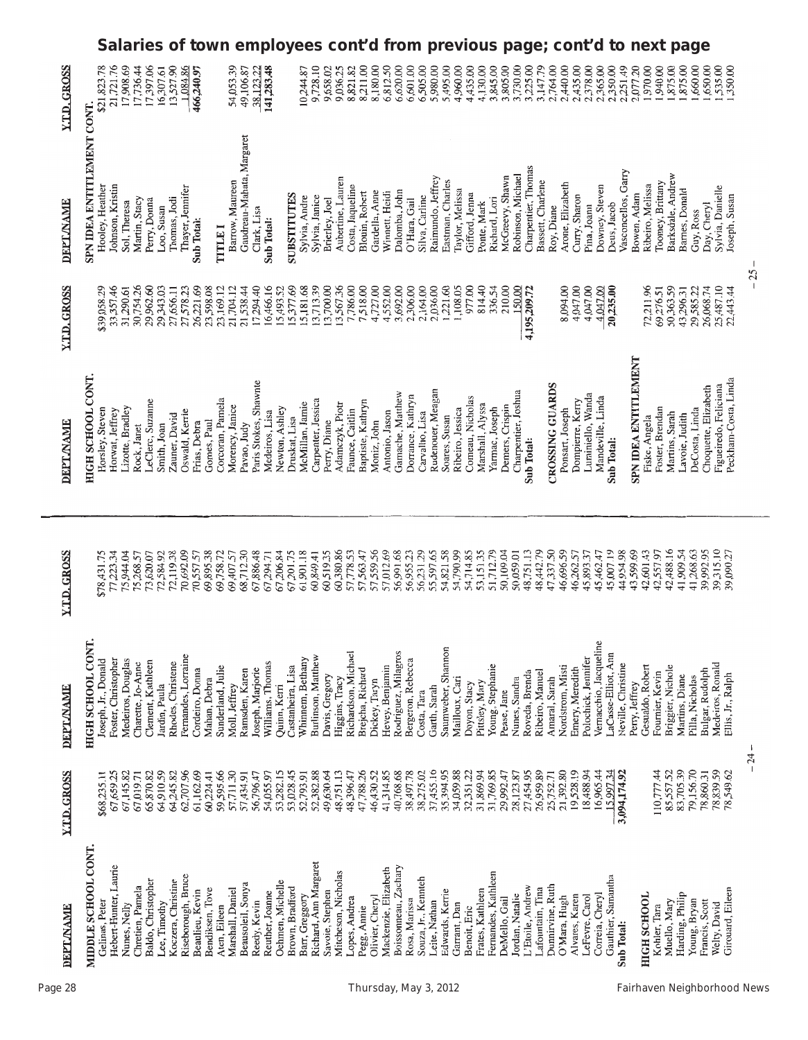|                     | <b>Salaries</b>                                                                                                                                                                                                | of town employees cont'd from previous page;<br>cont'd to<br>next page                                                                                                                                                                                                                                                                                                                                                                                                                                                                                                                                                                                                                                                                                                                                                                                                            |    |
|---------------------|----------------------------------------------------------------------------------------------------------------------------------------------------------------------------------------------------------------|-----------------------------------------------------------------------------------------------------------------------------------------------------------------------------------------------------------------------------------------------------------------------------------------------------------------------------------------------------------------------------------------------------------------------------------------------------------------------------------------------------------------------------------------------------------------------------------------------------------------------------------------------------------------------------------------------------------------------------------------------------------------------------------------------------------------------------------------------------------------------------------|----|
| <b>Y.T.D. GROSS</b> | 17,397.06<br>\$21,823.78<br>21,721.76<br>17,908.69<br>13,527.90<br>1,084.86<br>17,736.44<br>16,307.61<br>466,240.97                                                                                            | 54,053.39<br>141,283.48<br>8,211.00<br>8,180.00<br>6,620.00<br>6,601.00<br>6,505.00<br>4,960.00<br>4,435.00<br>4,130.00<br>3,805.00<br>3,225.00<br>3,147.79<br>2,764.00<br>2,440.00<br>2,435.00<br>2,378.00<br>2,365.00<br>2,350.00<br>2,251.49<br>2,077.20<br>,650.00<br>535.00<br>9,728.10<br>9,658.02<br>9,036.25<br>8,821.82<br>6,812.50<br>5,980.00<br>5,495.00<br>3,845.00<br>3,730.00<br>00.026<br>,940.00<br>,875.00<br>875.00<br>,660.00<br>350.00<br>49,106.87<br>38,123.22<br>10,244.87                                                                                                                                                                                                                                                                                                                                                                                |    |
| DEPTANANE           | SPN IDEA ENTITLEMENT CONT.<br>Hooley, Heather<br>Johnson, Kristin<br>Thayer, Jennifer<br>Thomas, Jodi<br>Martin, Stacy<br>Perry, Donna<br>Sol, Theresa<br>Loo, Susan<br>Sub Total:                             | Gaudreau-Mahata, Margaret<br>Charpentier, Thomas<br>Vasconcellos, Garry<br>Barksdale, Andrew<br>Robinson, Michael<br>McGreevy, Shawn<br>Aubertine, Lauren<br>Raimundo, Jeffrey<br>Barrow, Maureen<br>Eastman, Charles<br>Bassett, Charlene<br>Toomey, Brittany<br>Arone, Elizabeth<br>Costa, Jaqueline<br>Ribeiro, Melissa<br>Downey, Steven<br>Sylvia, Danielle<br>Barnes, Donald<br>Taylor, Melissa<br>Gardella, Anne<br>Dalomba, John<br>Blouin, Robert<br>Winnett, Heidi<br>Gifford, Jenna<br>SUBSTITUTES<br>Bowen, Adam<br>Joseph, Susan<br>Sylvia, Janice<br>Curry, Sharon<br>Silva, Carline<br>Sylvia, Andre<br>Brierley, Joel<br>Richard, Lori<br>O'Hara, Gail<br>Ponte, Mark<br>Day, Cheryl<br>Deus, Jacob<br>Roy, Diane<br>Pina, Joann<br>Clark, Lisa<br>Guy, Ross<br>Sub Total:<br>TITLEI                                                                              |    |
| <b>Y.T.D. GROSS</b> | 33,357.46<br>30,754.26<br>26,221.69<br>\$39,058.29<br>29,962.60<br>31,290.61<br>29,343.03<br>27,578.23<br>27,656.11                                                                                            | 15,377.69<br>15,181.68<br>13,713.39<br>13,700.00<br>13,567.36<br>7,786.00<br>4,727.00<br>4,552.00<br>4,047.00<br>17,294.40<br>16,466.16<br>7,518.00<br>3,692.00<br>,306.00<br>2,164.00<br>2,036.00<br>1,221.60<br>1,108.05<br>977.00<br>814.40<br>210.00<br>8,094.00<br>4,047.00<br>4,047.00<br>72,211.96<br>50,363.59<br>26,068.74<br>25,487.10<br>23,169.12<br>21,704.12<br>21,538.44<br>15,493.52<br>150.00<br>20,235.00<br>69,276.51<br>29,585.22<br>22,443.44<br>336.54<br>4,195,209.72<br>43,296.31                                                                                                                                                                                                                                                                                                                                                                         | 25 |
| <b>DEPT AYAME</b>   | HIGH SCHOOL CONT.<br>LeClerc, Suzanne<br>Lizotte, Bradley<br>Horsley, Steven<br>Horwat, Jeffrey<br>Oswald, Kerrie<br>Zauner, David<br>Frias, Debra<br>Rock, Janet<br>Smith, Joan                               | SPN IDEA ENTITLEMENT<br>Peckham-Costa, Linda<br>Paris Stokes, Shawnte<br>CROSSING GUARDS<br>Figueiredo, Feliciana<br>Choquette, Elizabeth<br>Rudenouer, Meagan<br>Charpentier, Joshua<br>Gamache, Matthew<br>Luminiello, Wanda<br>Dorrance, Kathryn<br>Comeau, Nicholas<br>Mandeville, Linda<br>Corcoran, Pamela<br>Carpenter, Jessica<br>Dompierre, Kerry<br>Baptiste, Kathryn<br>McMillan, Jamie<br>Adamczyk, Piotr<br>Marshall, Alyssa<br>Demers, Crispin<br>Morency, Janice<br>Newton, Ashley<br>Foster, Brendan<br>Ribeiro, Jessica<br>Yarmac, Joseph<br>DeCosta, Linda<br>Faunce, Caitlin<br>Ponsart, Joseph<br>Medeiros, Lisa<br>Antonio, Jason<br>Carvalho, Lisa<br>Martins, Sarah<br>Lavoie, Judith<br>Soares, Susan<br>Druskat, Lisa<br>Fiske, Angela<br>Moniz, John<br>Perry, Diane<br>Pavao, Judy<br>Sub Total:<br>Sub Total:                                         |    |
| <b>Y.T.D. GROSS</b> | 72,119.38<br>70,692.09<br>\$78,431.75<br>77,223.34<br>75,944.04<br>73,620.07<br>72,584.92<br>70,557.57<br>75,268.57                                                                                            | 46,696.59<br>42,488.16<br>39,315.10<br>60,380.86<br>57,559.56<br>57,012.69<br>56,231.29<br>55,597.65<br>54,821.58<br>54,790.99<br>54,714.85<br>53,151.35<br>51,712.79<br>50,109.04<br>48,442.79<br>47,337.50<br>45,007.19<br>44,954.98<br>43,599.69<br>42,601.43<br>41,909.54<br>41,268.63<br>39,992.95<br>68,712.30<br>67,886.48<br>67,206.84<br>61,901.18<br>60,519.35<br>57,778.53<br>57,563.47<br>56,991.68<br>56,955.23<br>48,751.13<br>45,893.37<br>42,557.97<br>39,090.27<br>69,758.72<br>69,407.57<br>67,201.75<br>50,059.01<br>46,262.57<br>45,462.47<br>60,849.41<br>67,294.71                                                                                                                                                                                                                                                                                          |    |
| DEPTMAME            | HIGH SCHOOL CONT.<br>Fernandes, Lorraine<br>Joseph, Jr., Donald<br>Foster, Christopher<br>Medeiros, Douglas<br>Clement, Kathleen<br>Rhodes, Christene<br>Charette, Jo-Anne<br>Cordeiro, Donna<br>Jardin, Paula | Vernacchio, Jacqueline<br>Richardson, Michael<br>Rodriguez, Milagros<br>Saumweber, Shannon<br>LaCasse-Elliot, Ann<br>Burlinson, Matthew<br>Polochick, Jennifer<br>Whinnem, Bethany<br>Bergeron, Rebecca<br>Williams, Thomas<br>Neville, Christine<br>Medeiros, Ronald<br>Young, Stephanie<br>Hevey, Benjamin<br>Nordstrom, Misti<br>Gesualdo, Robert<br>Briggier, Nichole<br>Castanheira, Lisa<br>Sunderland, Julie<br>Emery, Meredith<br>Joseph, Marjorie<br>Brejcha, Richard<br>Ramsden, Karen<br>Bulgar, Rudolph<br>Ribeiro, Manuel<br>Fournier, Kevin<br>Roveda, Brenda<br>Davis, Gregory<br>Ellis, Jr., Ralph<br>Martins, Diane<br>Pilla, Nicholas<br>Mailloux, Cari<br>Higgins, Tracy<br>Nunes, Sandra<br>Dickey, Taryn<br>Amaral, Sarah<br>Pittsley, Mary<br>Doyon, Stacy<br>Perry, Jeffrey<br>Moll, Jeffrey<br>Quinn, Kerri<br>Garth, Sarah<br>Costa, Tara<br>Pease, Jane |    |
| <b>Y.T.D. GROSS</b> | 67,145.82<br>64,910.59<br>62,707.96<br>61,162.69<br>67,659.25<br>65,870.82<br>64,245.82<br>\$68,235.11<br>67,019.71                                                                                            | 24<br>83,705.39<br>79,156.70<br>78,839.59<br>59,595.66<br>57,711.30<br>47,788.26<br>41,314.85<br>37,455.16<br>31,869.94<br>31,769.85<br>27,454.95<br>26,959.89<br>21,392.80<br>19,528.19<br>110,777.44<br>85,557.52<br>78,549.62<br>53,282.15<br>53,028.45<br>52,382.88<br>49,630.64<br>48,751.13<br>46,430.52<br>40,768.68<br>38,497.78<br>38,275.02<br>35,394.95<br>34,059.88<br>32,351.22<br>29,992.47<br>28,123.87<br>18,488.94<br>16,965.44<br>5.997.34<br>78,860.31<br>56,796.47<br>52,793.91<br>48,396.47<br>3,094,174.92<br>57,434.91<br>54,055.97<br>25,752.71                                                                                                                                                                                                                                                                                                           |    |
| <b>DEPT AYAME</b>   | MIDDLE SCHOOL CONT.<br>Hebert-Hunter, Laurie<br>Riseborough, Bruce<br>Baldo, Christopher<br>Koczera, Christine<br>Chretien, Pamela<br>Beaulieu, Kevin<br>Gelinas, Peter<br>Lee, Timothy<br>Nunes, Nelly        | Richard, Ann Margaret<br>Boissonneau, Zachary<br>Mackenzie, Elizabeth<br>Mitcheson, Nicholas<br>Fernandes, Kathleen<br>Gauthier, Samantha<br>Souza, Jr., Kennteh<br>Oehmen, Michelle<br>Beausoleil, Sonya<br>Dunnirvine, Ruth<br>L'Etoile, Andrew<br>Brown, Bradford<br>Marshall, Daniel<br>Lafountain, Tina<br>Girouard, Eileen<br>Edwards, Kerrie<br>Frates, Kathleen<br>Reuther, Joanne<br>Savoie, Stephen<br>Correia, Cheryl<br>Harding, Philip<br>Jordan, Natalie<br>Olivier, Cheryl<br>Alvares, Karen<br>HIGH SCHOOL<br>Barr, Greggory<br>LeFevre, Carol<br>O'Mara, Hugh<br>Lopes, Andrea<br>DeMello, Gail<br>Rosa, Marissa<br>Leite, Nathan<br>Young, Bryan<br>Francis, Scott<br>Reedy, Kevin<br>Muello, Mary<br>Welty, David<br>Garrant, Dan<br>Aten, Eileen<br>Kohler, Tara<br>Pegg, Annie<br>Benoit, Eric<br>Sub Total:                                                 |    |

j.

Page 28 Thursday, May 3, 2012 Fairhaven Neighborhood News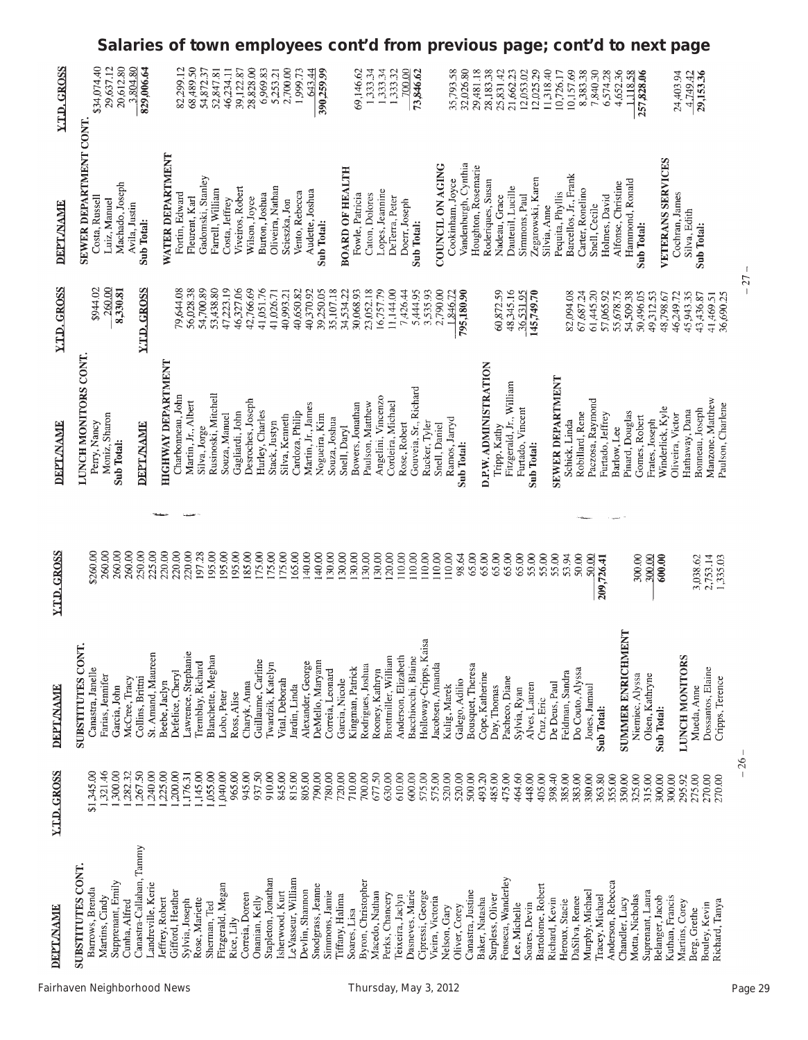|                     | Salaries of town employees cont'd from previous page; cont'd to next page                           |                                                |                                                |                                  |                                         |                                      |                        |                                   |                                         |                                   |                    |                    |                                      |                               |                  |                    |                                   |                                             |                     |                                        |                  |                  |                      |                                     |                                |                    |                                              |                                    |                   |                  |                                  |                                   |                                      |                   |                                       |                 |                                     |                                      |                                |                               |                                       |                  |
|---------------------|-----------------------------------------------------------------------------------------------------|------------------------------------------------|------------------------------------------------|----------------------------------|-----------------------------------------|--------------------------------------|------------------------|-----------------------------------|-----------------------------------------|-----------------------------------|--------------------|--------------------|--------------------------------------|-------------------------------|------------------|--------------------|-----------------------------------|---------------------------------------------|---------------------|----------------------------------------|------------------|------------------|----------------------|-------------------------------------|--------------------------------|--------------------|----------------------------------------------|------------------------------------|-------------------|------------------|----------------------------------|-----------------------------------|--------------------------------------|-------------------|---------------------------------------|-----------------|-------------------------------------|--------------------------------------|--------------------------------|-------------------------------|---------------------------------------|------------------|
| <b>Y.T.D. GROSS</b> | \$34,074.40<br>29,637.12<br>20,612.80                                                               | 3,804.80<br>829,006.64                         |                                                | 68,489.50<br>82,299.12           | 54,872.37                               | 52,847.81                            | 39,122.87<br>46,234.11 | 28,828.00                         | 6,969.83                                | 2,700.00<br>5,253.21              | 1,999.73           | 643.44             | 390,259.99                           |                               | 69,146.62        | 1,333.34           | 1,333.34                          | 1,333.32                                    | 700.00              | 73,846.62                              |                  | 35,793.58        | 32,026.80            | 29,481.18                           | 28,183.38                      | 25,831.42          | 21,662.23                                    | 12,025.29<br>12,053.02             | 11,318.40         | 10,726.17        | 10,157.69                        | 8,383.38                          | 7,840.30                             | 6,574.28          | 4,652.36<br>1118.58                   | 257,828.06      |                                     |                                      | 24,403.94<br>4,749,42          | 29,153.36                     |                                       |                  |
| <b>DEPT/NAME</b>    | SEWER DEPARTMENT CONT.<br>Machado, Joseph<br>Costa, Russell<br>Luiz, Manuel                         | Avila, Justin<br>Sub Total:                    | WATER DEPARTMENT                               | Fortin, Edward<br>Fleurent, Karl | Gadomski, Stanley                       | Farrell, William<br>Costa, Jeffrey   | Viveiros, Robert       | Wilson, Joyce                     | Burton, Joshua                          | Oliveira, Nathan<br>Scieszka, Jon | Vento, Rebecca     | Audette, Joshua    | Sub Total:                           | <b>BOARD OF HEALTH</b>        | Fowle, Patricia  | Caton, Dolores     | Lopes, Jeannine                   | DeTerra, Peter                              | Doerr, Joseph       | Sub Total:                             | COUNCIL ON AGING | Cookinham, Joyce | Vandenburgh, Cynthia | Houghton, Rosemarie                 | Roderiques, Susan              | Nadeau, Grace      | Dauteuil, Lucille                            | Zegarowski, Karen<br>Simmons, Paul | Silvia, Anne      | Pequita, Phyllis | Barcellos, Jr., Frank            | Carter, Ronelino                  | Snell, Cecile                        | Holmes, David     | Hammond, Ronald<br>Alfonse, Christine | Sub Total:      |                                     | <b>VETERANS SERVICES</b>             | Cochran, James<br>Silva, Edith | Sub Total:                    |                                       |                  |
| <b>Y.T.D. GROSS</b> | 260.00<br>\$944.02<br>8,330.81                                                                      | Y.T.D. GROSS                                   |                                                | 56,028.38<br>79,644.08           | 54,700.89                               | 53,438.80<br>47,223.19               | 46,327.06              | 42,766.69                         | 41,051.76                               | 40,993.21<br>41,026.71            | 40,650.82          | 40,370.92          | 39,250.05                            | 35,107.18<br>34,534.22        | 30,068.93        | 23,052.18          | 16,757.79                         | 11,144.00                                   | 7,426.44            | 5,444.95<br>3,535.93                   | 2,790.00         | 1,846.72         | 795,180.90           |                                     |                                | 60,872.59          | 48,345.16<br>36,531.95                       | 145,749.70                         |                   |                  | 82,094.08                        | 67,687.24                         | 61,445.20<br>57,065.92               | 55,678.75         | 54,509.38                             | 50,496.05       | 49,312.53                           | 46,249.72<br>48,798.67               | 45,943.35                      | 43,436.87                     | 36,690.25<br>41,469.51                | $\overline{c}$ . |
| DEPTAYAME           | LUNCH MONITORS CONT.<br>Moniz, Sharon<br>Perry, Nancy<br>Sub Total:                                 | <b>DEPT/NAME</b>                               | <b>HIGHWAY DEPARTMENT</b><br>Charbonneau, John | Martin, Jr., Albert              | Silva, Jorge                            | Rusinoski, Mitchell<br>Souza, Manuel | Gagliardi, John        | Desroches, Joseph                 | Hurley, Charles                         | Silva, Kenneth<br>Stack, Justyn   | Cardoza, Philip    | Martin, Jr., James | Nogueira, Kim                        | Souza, Joshua<br>Snell, Daryl | Bowers, Jonathan | Paulson, Matthew   | Angelini, Vincenzo                | Cordeira, Michael                           | Rose, Robert        | Gouveia, Sr., Richard<br>Rucker, Tyler | Snell, Daniel    | Ramos, Jarryd    | Sub Total:           |                                     | D.P.W. ADMINISTRATION          | Tripp, Kathy       | Fitzgerald, Jr., William<br>Furtado, Vincent | Sub Total:                         |                   | SEWER DEPARTMENT | Schick, Linda                    | Robillard, Rene                   | Paczosa, Raymond<br>Furtado, Jeffrey | Barlow, Lee       | Pinard, Douglas                       | Gomes, Robert   | Frates, Joseph                      | Winderlick, Kyle<br>Oliveira, Victor | Hathaway, Dana                 | Bonneau, Joseph               | Manzone, Matthew<br>Paulson, Charlene |                  |
|                     |                                                                                                     |                                                |                                                |                                  |                                         |                                      |                        |                                   |                                         |                                   |                    |                    |                                      |                               |                  |                    |                                   |                                             |                     |                                        |                  |                  |                      |                                     |                                |                    |                                              |                                    |                   |                  |                                  |                                   |                                      |                   |                                       |                 |                                     |                                      |                                |                               |                                       |                  |
| <b>Y.T.D. GROSS</b> | 260.00<br>260.00<br>260.00<br>\$260.00                                                              | 250.00<br>225.00                               | 220.00<br>220.00                               | 220.00                           | 195.00<br>197.28                        | 195.00                               | 195.00                 | 185.00                            | 175.00<br>175.00                        | 175.00                            | 165.00             | 140.00             | 140.00<br>130.00                     | 130.00                        | 30.00            | 130.00             | (30.00)                           | 120.00<br>110.00                            | 110.00              | 110.00                                 | 110.00           | 110.00           | 98.64                | 65.00                               | 65.00                          | 65.00<br>65.00     | 65.00                                        | 55.00                              | 55.00             | 55.00            | 53.94                            | 50.00                             | 50.00<br>209,726.41                  |                   |                                       | 300.00          | 300.00                              | 600.00                               |                                | 3,038.62                      | 2,753.14<br>1,335.03                  |                  |
| <b>DEPT AYAME</b>   | SUBSTITUTES CONT.<br>Canastra, Janelle<br>Farias, Jennifer<br>McCree, Tracy<br>Garcia, John         | St. Amand, Maureen<br>Collins, Brittni         | Defelice, Cheryl<br>Beebe, Jaclyn              | Lawrence, Stephanie              | Blanchette, Meghan<br>Tremblay, Richard | Lobo, Peter                          | Ross, Alise            | Charyk, Anna                      | Guillaume, Carline<br>Iwardzik, Katelyn | Vital, Deborah                    | Jardin, Linda      | Alexander, George  | DeMello, Maryann<br>Correia, Leonard | Garcia, Nicole                | Kingman, Patrick | Rodrigues, Joshua  | Rooney, Kathryn                   | Brottmiller, William<br>Anderson, Elizabeth | Bacchiocchi, Blaine | Holloway-Cripps, Kaisa                 | Jacobsen, Amanda | Kulig, Marek     | Galego, Adilio       | Bousquet, Theresa                   | Cope, Katherine<br>Day, Thomas | Pacheco, Diane     | Sylvia, Ryan                                 | Alves, Lauren                      | Cruz, Eric        | De Deus, Paul    | Feldman, Sandra                  | Do Couto, Alyssa<br>Jones, Jamaul | Sub Total:                           |                   | SUMMER ENRICHMENT                     | Niemiec, Alyssa | Olsen, Kathryne<br>Sub Total:       |                                      | LUNCH MONITORS                 | Mueda, Anne                   | Dossantos, Elaine<br>Cripps, Terence  |                  |
| <b>Y.T.D. GROSS</b> | \$1,345.00<br>1,321.46<br>,300.00<br>282.32                                                         | 240.00<br>267.50                               | 225.00<br>200.00                               | ,176.31                          | ,145.00<br>1,055.00                     | 1,040.00                             | 965.00                 | 945.00<br>937.50                  | 910.00                                  | 845.00                            | 815.00             | 805.00             | 790.00<br>780.00                     | 720.00                        | 710.00           | 700.00             | 677.50                            | 630.00<br>610.00                            | 600.00              | 575.00                                 | 575.00           | 520.00           | 520.00               | 500.00<br>493.20                    | 485.00                         | 475.00             | 464.60                                       | 448.00                             | 405.00            | 398.40           | 383.00<br>385.00                 | 380.00                            | 363.80                               | 355.00            | 350.00                                | 325.00          | 315.00<br>300.00                    | 300.00                               | 295.92                         | 275.00                        | 270.00<br>270.00                      | $-26-$           |
| <b>DEPTANAME</b>    | <b>SUBSTITUTES CONT.</b><br>Supprenant, Emily<br>Barrows, Brenda<br>Martins, Cindy<br>Cunha, Alfred | Canastra-Callahan, Tammy<br>Landreville, Kerie | Gifford, Heather<br>Jeffrey, Robert            | Sylvia, Joseph                   | Rose, Mariette<br>Sherman, Ted          | Fitzgerald, Megan                    | Rice, Lily             | Correia, Doreen<br>Onanian, Kelly | Stapleton, Jonathan                     | Isherwood, Kurt                   | LeVasseur, William | Devlin, Shannon    | Snodgrass, Jeanne<br>Simmons, Jamie  | Tiffany, Halima               | Soares, Lisa     | Byron, Christopher | Macedo, Nathan<br>Perks, Chancery | Teixeira, Jaclyn                            | Dasneves, Marie     | Cipressi, George                       | Vieira, Victoria | Nelson, Gary     | Oliver, Corey        | Canastra, Justine<br>Baker, Natasha | Surpless, Oliver               | Fonseca, Wanderley | Lee, Michelle                                | Soares, Devin                      | Bartolome, Robert | Richard, Kevin   | DaSilva, Renee<br>Heroux, Stacie | Murphy, Michael                   | Tracey, Michael                      | Anderson, Rebecca | Chandler, Lucy                        | Motta, Nicholas | Suprenant, Laura<br>Belanger, Jacob | Kuthan, Francis                      | Martins, Corey                 | Bouley, Kevin<br>Berg, Grethe | Richard, Tanya                        |                  |

 $-27 -$